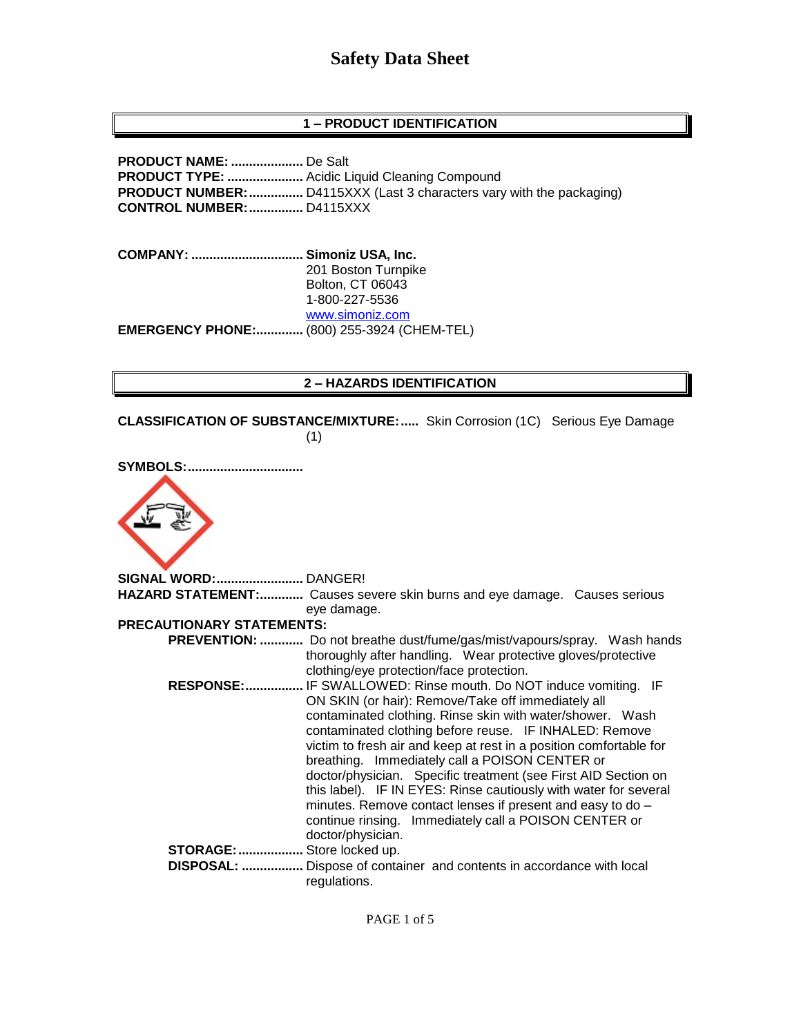## **1 – PRODUCT IDENTIFICATION**

**PRODUCT NAME: ....................** De Salt **PRODUCT TYPE: .....................** Acidic Liquid Cleaning Compound **PRODUCT NUMBER:...............** D4115XXX (Last 3 characters vary with the packaging) **CONTROL NUMBER:...............** D4115XXX

**COMPANY: ............................... Simoniz USA, Inc.** 201 Boston Turnpike Bolton, CT 06043 1-800-227-5536 [www.simoniz.com](http://www.simoniz.com/) **EMERGENCY PHONE:.............** (800) 255-3924 (CHEM-TEL)

### **2 – HAZARDS IDENTIFICATION**

**CLASSIFICATION OF SUBSTANCE/MIXTURE:.....** Skin Corrosion (1C) Serious Eye Damage (1)

| <b>SYMBOLS:</b>                  |                                                                                                                                                                                                                                                                                                                                                                                                                                                                                                                                                                                                                                              |
|----------------------------------|----------------------------------------------------------------------------------------------------------------------------------------------------------------------------------------------------------------------------------------------------------------------------------------------------------------------------------------------------------------------------------------------------------------------------------------------------------------------------------------------------------------------------------------------------------------------------------------------------------------------------------------------|
|                                  |                                                                                                                                                                                                                                                                                                                                                                                                                                                                                                                                                                                                                                              |
| <b>SIGNAL WORD: DANGER!</b>      |                                                                                                                                                                                                                                                                                                                                                                                                                                                                                                                                                                                                                                              |
|                                  | HAZARD STATEMENT: Causes severe skin burns and eye damage. Causes serious                                                                                                                                                                                                                                                                                                                                                                                                                                                                                                                                                                    |
|                                  | eye damage.                                                                                                                                                                                                                                                                                                                                                                                                                                                                                                                                                                                                                                  |
| <b>PRECAUTIONARY STATEMENTS:</b> |                                                                                                                                                                                                                                                                                                                                                                                                                                                                                                                                                                                                                                              |
|                                  | PREVENTION:  Do not breathe dust/fume/gas/mist/vapours/spray. Wash hands<br>thoroughly after handling. Wear protective gloves/protective<br>clothing/eye protection/face protection.                                                                                                                                                                                                                                                                                                                                                                                                                                                         |
| <b>RESPONSE:</b>                 | IF SWALLOWED: Rinse mouth. Do NOT induce vomiting. IF<br>ON SKIN (or hair): Remove/Take off immediately all<br>contaminated clothing. Rinse skin with water/shower. Wash<br>contaminated clothing before reuse. IF INHALED: Remove<br>victim to fresh air and keep at rest in a position comfortable for<br>breathing. Immediately call a POISON CENTER or<br>doctor/physician. Specific treatment (see First AID Section on<br>this label). IF IN EYES: Rinse cautiously with water for several<br>minutes. Remove contact lenses if present and easy to do -<br>continue rinsing. Immediately call a POISON CENTER or<br>doctor/physician. |
| <b>STORAGE:</b>                  | Store locked up.                                                                                                                                                                                                                                                                                                                                                                                                                                                                                                                                                                                                                             |
| <b>NICDACAI .</b>                | Dispose of container, and contants in accordance with local                                                                                                                                                                                                                                                                                                                                                                                                                                                                                                                                                                                  |

 **DISPOSAL: .................** Dispose of container and contents in accordance with local regulations.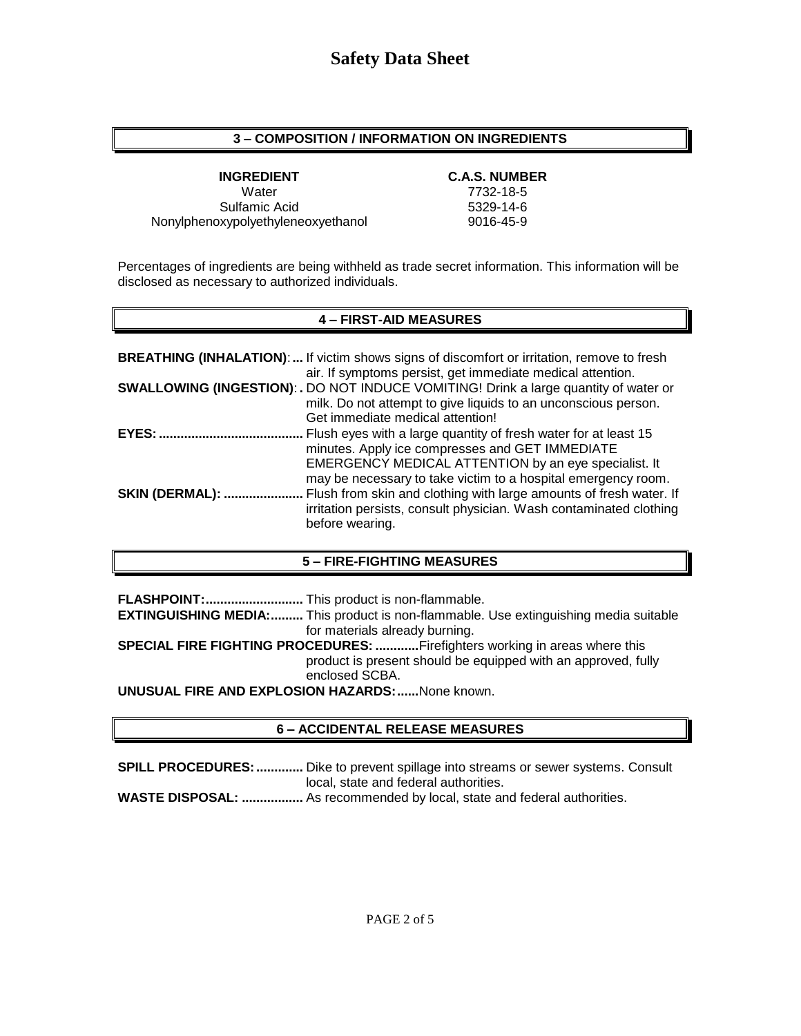### **3 – COMPOSITION / INFORMATION ON INGREDIENTS**

Water 7732-18-5 Sulfamic Acid 5329-14-6 Nonylphenoxypolyethyleneoxyethanol 9016-45-9

### **INGREDIENT C.A.S. NUMBER**

Percentages of ingredients are being withheld as trade secret information. This information will be disclosed as necessary to authorized individuals.

## **4 – FIRST-AID MEASURES**

|                        | <b>BREATHING (INHALATION):</b> If victim shows signs of discomfort or irritation, remove to fresh<br>air. If symptoms persist, get immediate medical attention.                                                                             |
|------------------------|---------------------------------------------------------------------------------------------------------------------------------------------------------------------------------------------------------------------------------------------|
|                        | <b>SWALLOWING (INGESTION): .</b> DO NOT INDUCE VOMITING! Drink a large quantity of water or<br>milk. Do not attempt to give liquids to an unconscious person.<br>Get immediate medical attention!                                           |
| <b>EYES:</b>           | Flush eyes with a large quantity of fresh water for at least 15<br>minutes. Apply ice compresses and GET IMMEDIATE<br>EMERGENCY MEDICAL ATTENTION by an eye specialist. It<br>may be necessary to take victim to a hospital emergency room. |
| <b>SKIN (DERMAL): </b> | Flush from skin and clothing with large amounts of fresh water. If<br>irritation persists, consult physician. Wash contaminated clothing<br>before wearing.                                                                                 |

## **5 – FIRE-FIGHTING MEASURES**

**FLASHPOINT:...........................** This product is non-flammable. **EXTINGUISHING MEDIA:.........** This product is non-flammable. Use extinguishing media suitable for materials already burning. **SPECIAL FIRE FIGHTING PROCEDURES: ............**Firefighters working in areas where this product is present should be equipped with an approved, fully enclosed SCBA. **UNUSUAL FIRE AND EXPLOSION HAZARDS:......**None known.

## **6 – ACCIDENTAL RELEASE MEASURES**

**SPILL PROCEDURES:.............** Dike to prevent spillage into streams or sewer systems. Consult local, state and federal authorities.

**WASTE DISPOSAL: .................** As recommended by local, state and federal authorities.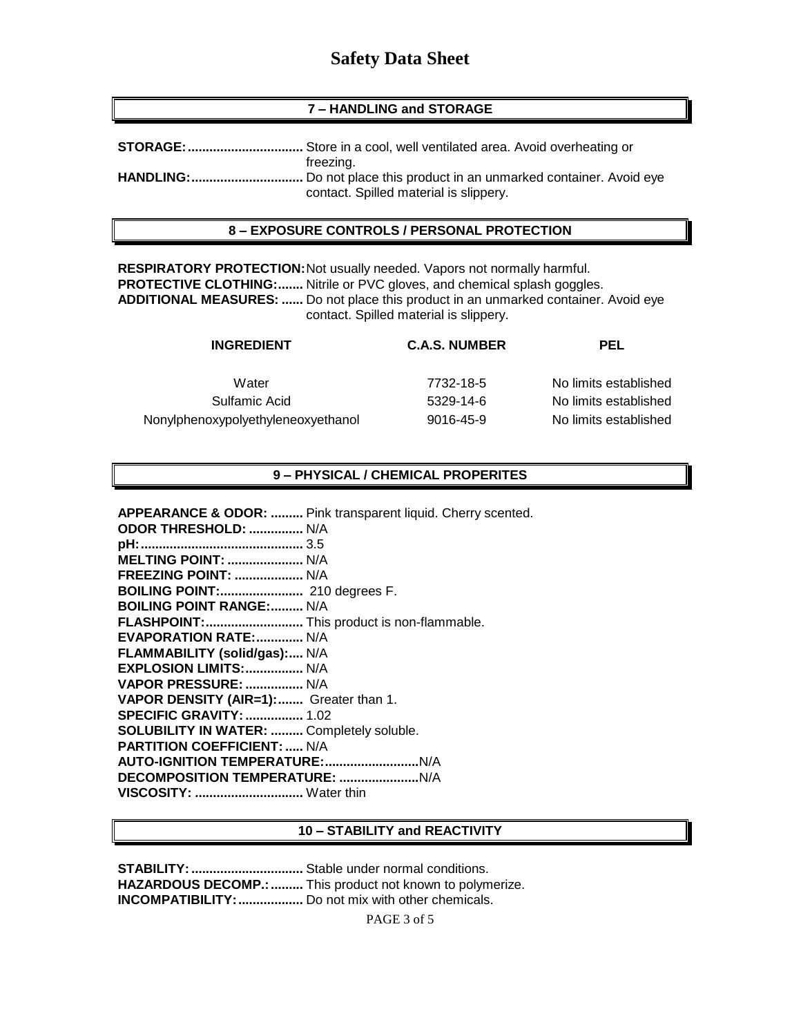## **7 – HANDLING and STORAGE**

| freezing.                              |
|----------------------------------------|
|                                        |
| contact. Spilled material is slippery. |

### **8 – EXPOSURE CONTROLS / PERSONAL PROTECTION**

**RESPIRATORY PROTECTION:**Not usually needed. Vapors not normally harmful. **PROTECTIVE CLOTHING:.......** Nitrile or PVC gloves, and chemical splash goggles. **ADDITIONAL MEASURES: ......** Do not place this product in an unmarked container. Avoid eye contact. Spilled material is slippery.

| <b>INGREDIENT</b>                  | <b>C.A.S. NUMBER</b> | PEL                   |
|------------------------------------|----------------------|-----------------------|
| Water                              | 7732-18-5            | No limits established |
| Sulfamic Acid                      | 5329-14-6            | No limits established |
| Nonylphenoxypolyethyleneoxyethanol | 9016-45-9            | No limits established |

## **9 – PHYSICAL / CHEMICAL PROPERITES**

**APPEARANCE & ODOR: .........** Pink transparent liquid. Cherry scented.

| <b>ODOR THRESHOLD:  N/A</b>                      |  |
|--------------------------------------------------|--|
|                                                  |  |
| <b>MELTING POINT:  N/A</b>                       |  |
| <b>FREEZING POINT:  N/A</b>                      |  |
| <b>BOILING POINT:</b> 210 degrees F.             |  |
| <b>BOILING POINT RANGE: N/A</b>                  |  |
| FLASHPOINT: This product is non-flammable.       |  |
| <b>EVAPORATION RATE: N/A</b>                     |  |
| FLAMMABILITY (solid/gas): N/A                    |  |
| EXPLOSION LIMITS:  N/A                           |  |
| VAPOR PRESSURE:  N/A                             |  |
| VAPOR DENSITY (AIR=1): Greater than 1.           |  |
| <b>SPECIFIC GRAVITY:  1.02</b>                   |  |
| <b>SOLUBILITY IN WATER:  Completely soluble.</b> |  |
| <b>PARTITION COEFFICIENT:  N/A</b>               |  |
|                                                  |  |
|                                                  |  |
| VISCOSITY:  Water thin                           |  |

#### **10 – STABILITY and REACTIVITY**

**STABILITY:...............................** Stable under normal conditions. **HAZARDOUS DECOMP.:.........** This product not known to polymerize. **INCOMPATIBILITY:..................** Do not mix with other chemicals.

PAGE 3 of 5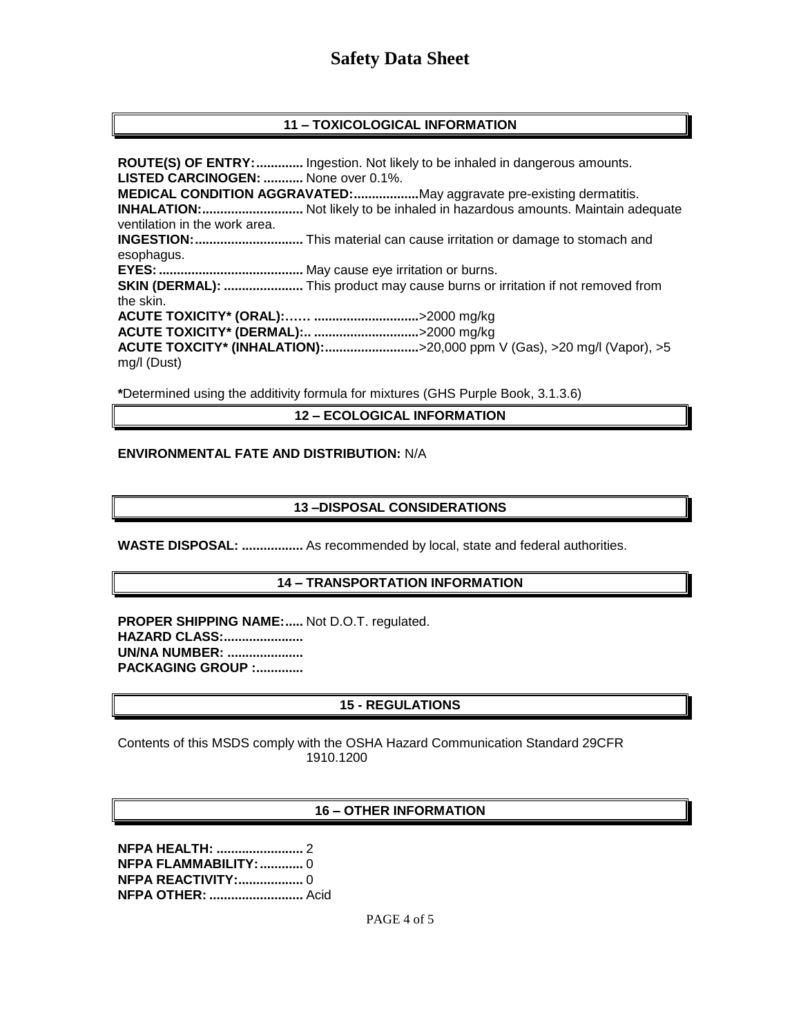## **11 – TOXICOLOGICAL INFORMATION**

**ROUTE(S) OF ENTRY:.............** Ingestion. Not likely to be inhaled in dangerous amounts. **LISTED CARCINOGEN: ...........** None over 0.1%. **MEDICAL CONDITION AGGRAVATED:..................**May aggravate pre-existing dermatitis. **INHALATION:............................** Not likely to be inhaled in hazardous amounts. Maintain adequate ventilation in the work area. **INGESTION:..............................** This material can cause irritation or damage to stomach and esophagus. **EYES:........................................** May cause eye irritation or burns. **SKIN (DERMAL): ......................** This product may cause burns or irritation if not removed from the skin. **ACUTE TOXICITY\* (ORAL):…… .............................**>2000 mg/kg **ACUTE TOXICITY\* (DERMAL):.. .............................**>2000 mg/kg **ACUTE TOXCITY\* (INHALATION):..........................**>20,000 ppm V (Gas), >20 mg/l (Vapor), >5 mg/l (Dust)

**\***Determined using the additivity formula for mixtures (GHS Purple Book, 3.1.3.6)

#### **12 – ECOLOGICAL INFORMATION**

#### **ENVIRONMENTAL FATE AND DISTRIBUTION:** N/A

#### **13 –DISPOSAL CONSIDERATIONS**

**WASTE DISPOSAL: .................** As recommended by local, state and federal authorities.

#### **14 – TRANSPORTATION INFORMATION**

**PROPER SHIPPING NAME:.....** Not D.O.T. regulated. **HAZARD CLASS:...................... UN/NA NUMBER: ..................... PACKAGING GROUP :.............**

#### **15 - REGULATIONS**

Contents of this MSDS comply with the OSHA Hazard Communication Standard 29CFR 1910.1200

#### **16 – OTHER INFORMATION**

**NFPA HEALTH: ........................** 2 **NFPA FLAMMABILITY:............** 0 **NFPA REACTIVITY:..................** 0 **NFPA OTHER: ..........................** Acid